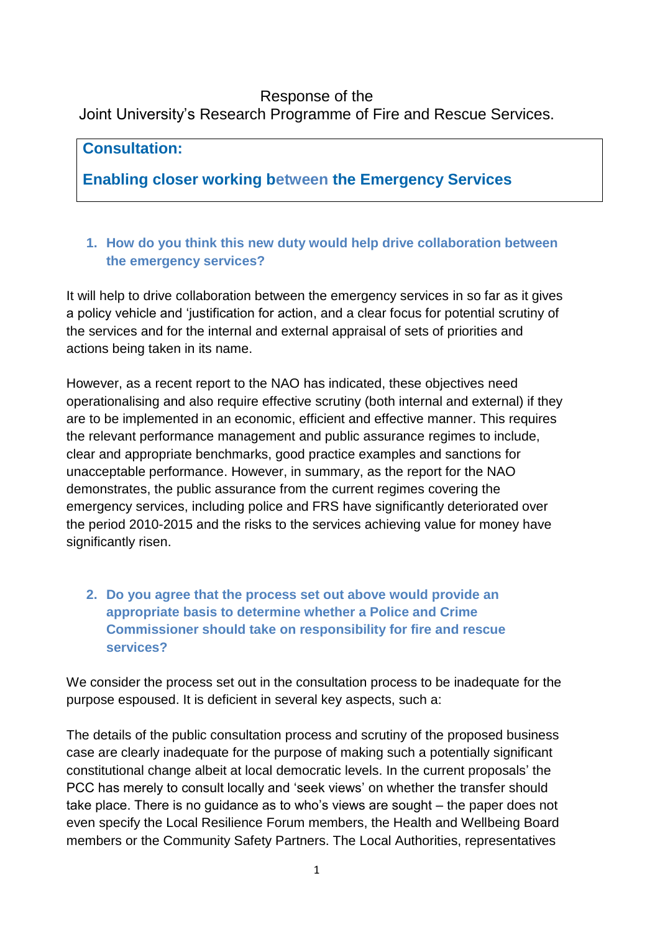#### Response of the Joint University's Research Programme of Fire and Rescue Services.

## **Consultation:**

# **Enabling closer working between the Emergency Services**

## **1. How do you think this new duty would help drive collaboration between the emergency services?**

It will help to drive collaboration between the emergency services in so far as it gives a policy vehicle and 'justification for action, and a clear focus for potential scrutiny of the services and for the internal and external appraisal of sets of priorities and actions being taken in its name.

However, as a recent report to the NAO has indicated, these objectives need operationalising and also require effective scrutiny (both internal and external) if they are to be implemented in an economic, efficient and effective manner. This requires the relevant performance management and public assurance regimes to include, clear and appropriate benchmarks, good practice examples and sanctions for unacceptable performance. However, in summary, as the report for the NAO demonstrates, the public assurance from the current regimes covering the emergency services, including police and FRS have significantly deteriorated over the period 2010-2015 and the risks to the services achieving value for money have significantly risen.

## **2. Do you agree that the process set out above would provide an appropriate basis to determine whether a Police and Crime Commissioner should take on responsibility for fire and rescue services?**

We consider the process set out in the consultation process to be inadequate for the purpose espoused. It is deficient in several key aspects, such a:

The details of the public consultation process and scrutiny of the proposed business case are clearly inadequate for the purpose of making such a potentially significant constitutional change albeit at local democratic levels. In the current proposals' the PCC has merely to consult locally and 'seek views' on whether the transfer should take place. There is no guidance as to who's views are sought – the paper does not even specify the Local Resilience Forum members, the Health and Wellbeing Board members or the Community Safety Partners. The Local Authorities, representatives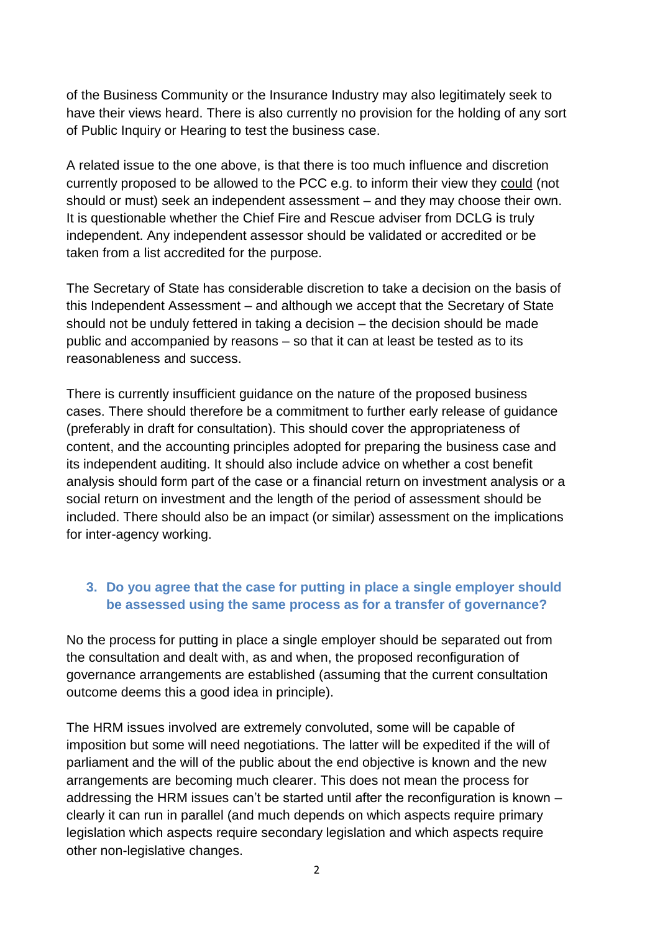of the Business Community or the Insurance Industry may also legitimately seek to have their views heard. There is also currently no provision for the holding of any sort of Public Inquiry or Hearing to test the business case.

A related issue to the one above, is that there is too much influence and discretion currently proposed to be allowed to the PCC e.g. to inform their view they could (not should or must) seek an independent assessment – and they may choose their own. It is questionable whether the Chief Fire and Rescue adviser from DCLG is truly independent. Any independent assessor should be validated or accredited or be taken from a list accredited for the purpose.

The Secretary of State has considerable discretion to take a decision on the basis of this Independent Assessment – and although we accept that the Secretary of State should not be unduly fettered in taking a decision – the decision should be made public and accompanied by reasons – so that it can at least be tested as to its reasonableness and success.

There is currently insufficient guidance on the nature of the proposed business cases. There should therefore be a commitment to further early release of guidance (preferably in draft for consultation). This should cover the appropriateness of content, and the accounting principles adopted for preparing the business case and its independent auditing. It should also include advice on whether a cost benefit analysis should form part of the case or a financial return on investment analysis or a social return on investment and the length of the period of assessment should be included. There should also be an impact (or similar) assessment on the implications for inter-agency working.

#### **3. Do you agree that the case for putting in place a single employer should be assessed using the same process as for a transfer of governance?**

No the process for putting in place a single employer should be separated out from the consultation and dealt with, as and when, the proposed reconfiguration of governance arrangements are established (assuming that the current consultation outcome deems this a good idea in principle).

The HRM issues involved are extremely convoluted, some will be capable of imposition but some will need negotiations. The latter will be expedited if the will of parliament and the will of the public about the end objective is known and the new arrangements are becoming much clearer. This does not mean the process for addressing the HRM issues can't be started until after the reconfiguration is known – clearly it can run in parallel (and much depends on which aspects require primary legislation which aspects require secondary legislation and which aspects require other non-legislative changes.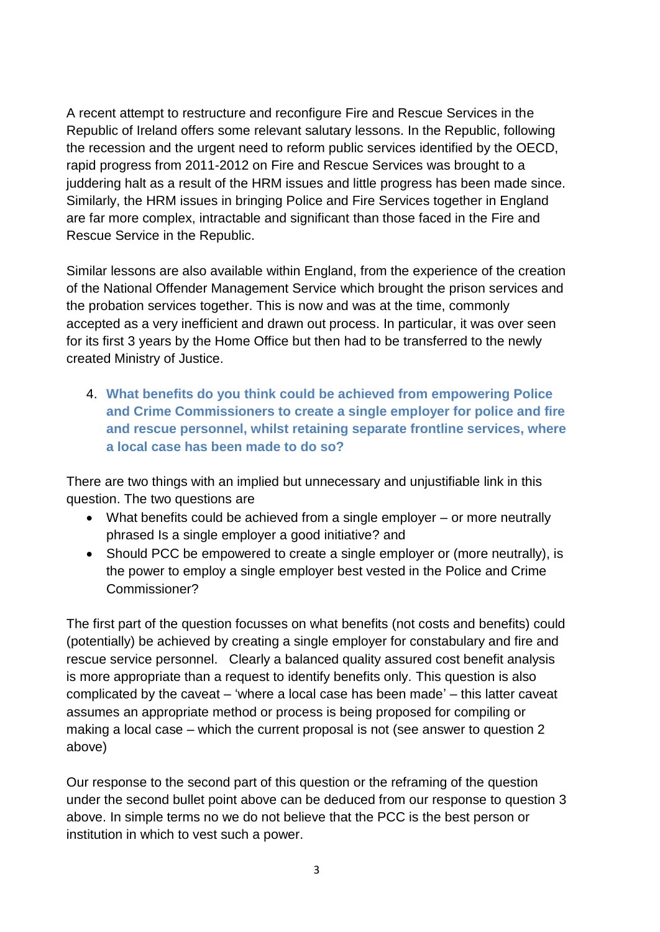A recent attempt to restructure and reconfigure Fire and Rescue Services in the Republic of Ireland offers some relevant salutary lessons. In the Republic, following the recession and the urgent need to reform public services identified by the OECD, rapid progress from 2011-2012 on Fire and Rescue Services was brought to a juddering halt as a result of the HRM issues and little progress has been made since. Similarly, the HRM issues in bringing Police and Fire Services together in England are far more complex, intractable and significant than those faced in the Fire and Rescue Service in the Republic.

Similar lessons are also available within England, from the experience of the creation of the National Offender Management Service which brought the prison services and the probation services together. This is now and was at the time, commonly accepted as a very inefficient and drawn out process. In particular, it was over seen for its first 3 years by the Home Office but then had to be transferred to the newly created Ministry of Justice.

4. **What benefits do you think could be achieved from empowering Police and Crime Commissioners to create a single employer for police and fire and rescue personnel, whilst retaining separate frontline services, where a local case has been made to do so?**

There are two things with an implied but unnecessary and unjustifiable link in this question. The two questions are

- What benefits could be achieved from a single employer or more neutrally phrased Is a single employer a good initiative? and
- Should PCC be empowered to create a single employer or (more neutrally), is the power to employ a single employer best vested in the Police and Crime Commissioner?

The first part of the question focusses on what benefits (not costs and benefits) could (potentially) be achieved by creating a single employer for constabulary and fire and rescue service personnel. Clearly a balanced quality assured cost benefit analysis is more appropriate than a request to identify benefits only. This question is also complicated by the caveat – 'where a local case has been made' – this latter caveat assumes an appropriate method or process is being proposed for compiling or making a local case – which the current proposal is not (see answer to question 2 above)

Our response to the second part of this question or the reframing of the question under the second bullet point above can be deduced from our response to question 3 above. In simple terms no we do not believe that the PCC is the best person or institution in which to vest such a power.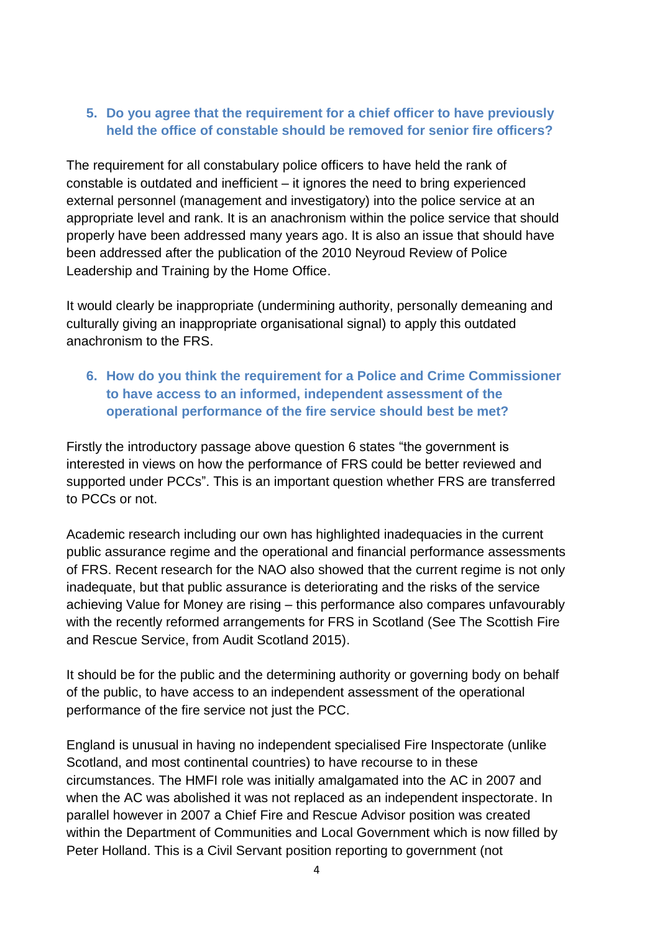#### **5. Do you agree that the requirement for a chief officer to have previously held the office of constable should be removed for senior fire officers?**

The requirement for all constabulary police officers to have held the rank of constable is outdated and inefficient – it ignores the need to bring experienced external personnel (management and investigatory) into the police service at an appropriate level and rank. It is an anachronism within the police service that should properly have been addressed many years ago. It is also an issue that should have been addressed after the publication of the 2010 Neyroud Review of Police Leadership and Training by the Home Office.

It would clearly be inappropriate (undermining authority, personally demeaning and culturally giving an inappropriate organisational signal) to apply this outdated anachronism to the FRS.

#### **6. How do you think the requirement for a Police and Crime Commissioner to have access to an informed, independent assessment of the operational performance of the fire service should best be met?**

Firstly the introductory passage above question 6 states "the government is interested in views on how the performance of FRS could be better reviewed and supported under PCCs". This is an important question whether FRS are transferred to PCCs or not.

Academic research including our own has highlighted inadequacies in the current public assurance regime and the operational and financial performance assessments of FRS. Recent research for the NAO also showed that the current regime is not only inadequate, but that public assurance is deteriorating and the risks of the service achieving Value for Money are rising – this performance also compares unfavourably with the recently reformed arrangements for FRS in Scotland (See The Scottish Fire and Rescue Service, from Audit Scotland 2015).

It should be for the public and the determining authority or governing body on behalf of the public, to have access to an independent assessment of the operational performance of the fire service not just the PCC.

England is unusual in having no independent specialised Fire Inspectorate (unlike Scotland, and most continental countries) to have recourse to in these circumstances. The HMFI role was initially amalgamated into the AC in 2007 and when the AC was abolished it was not replaced as an independent inspectorate. In parallel however in 2007 a Chief Fire and Rescue Advisor position was created within the Department of Communities and Local Government which is now filled by Peter Holland. This is a Civil Servant position reporting to government (not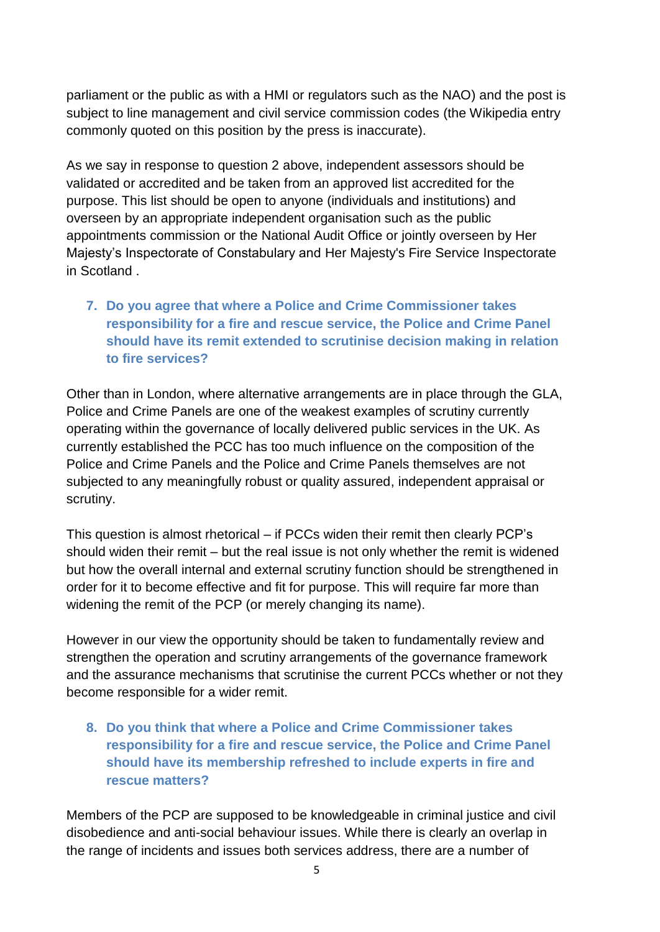parliament or the public as with a HMI or regulators such as the NAO) and the post is subject to line management and civil service commission codes (the Wikipedia entry commonly quoted on this position by the press is inaccurate).

As we say in response to question 2 above, independent assessors should be validated or accredited and be taken from an approved list accredited for the purpose. This list should be open to anyone (individuals and institutions) and overseen by an appropriate independent organisation such as the public appointments commission or the National Audit Office or jointly overseen by Her Majesty's Inspectorate of Constabulary and Her Majesty's Fire Service Inspectorate in Scotland .

### **7. Do you agree that where a Police and Crime Commissioner takes responsibility for a fire and rescue service, the Police and Crime Panel should have its remit extended to scrutinise decision making in relation to fire services?**

Other than in London, where alternative arrangements are in place through the GLA, Police and Crime Panels are one of the weakest examples of scrutiny currently operating within the governance of locally delivered public services in the UK. As currently established the PCC has too much influence on the composition of the Police and Crime Panels and the Police and Crime Panels themselves are not subjected to any meaningfully robust or quality assured, independent appraisal or scrutiny.

This question is almost rhetorical – if PCCs widen their remit then clearly PCP's should widen their remit – but the real issue is not only whether the remit is widened but how the overall internal and external scrutiny function should be strengthened in order for it to become effective and fit for purpose. This will require far more than widening the remit of the PCP (or merely changing its name).

However in our view the opportunity should be taken to fundamentally review and strengthen the operation and scrutiny arrangements of the governance framework and the assurance mechanisms that scrutinise the current PCCs whether or not they become responsible for a wider remit.

**8. Do you think that where a Police and Crime Commissioner takes responsibility for a fire and rescue service, the Police and Crime Panel should have its membership refreshed to include experts in fire and rescue matters?** 

Members of the PCP are supposed to be knowledgeable in criminal justice and civil disobedience and anti-social behaviour issues. While there is clearly an overlap in the range of incidents and issues both services address, there are a number of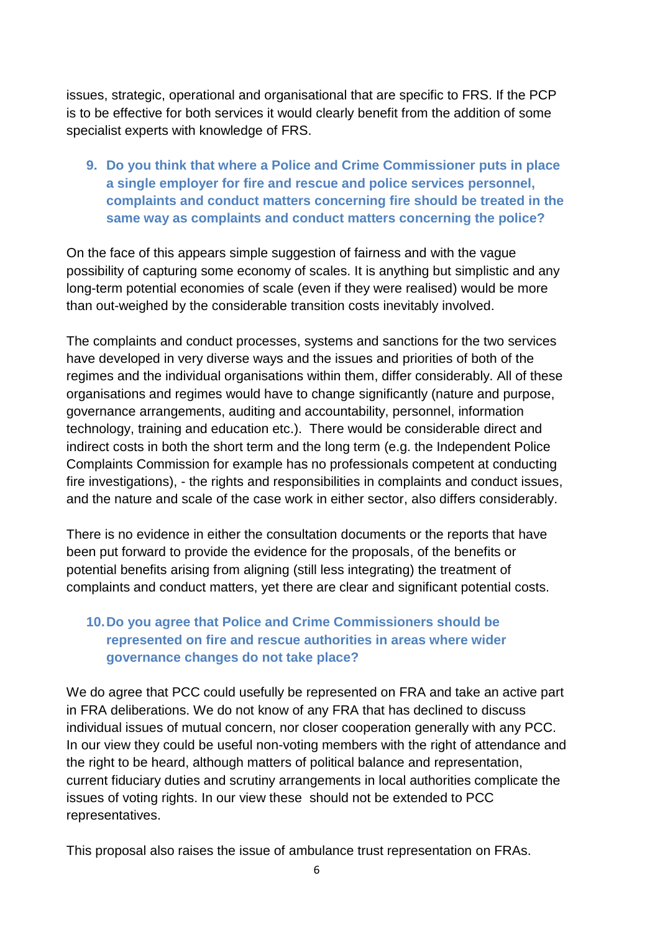issues, strategic, operational and organisational that are specific to FRS. If the PCP is to be effective for both services it would clearly benefit from the addition of some specialist experts with knowledge of FRS.

**9. Do you think that where a Police and Crime Commissioner puts in place a single employer for fire and rescue and police services personnel, complaints and conduct matters concerning fire should be treated in the same way as complaints and conduct matters concerning the police?** 

On the face of this appears simple suggestion of fairness and with the vague possibility of capturing some economy of scales. It is anything but simplistic and any long-term potential economies of scale (even if they were realised) would be more than out-weighed by the considerable transition costs inevitably involved.

The complaints and conduct processes, systems and sanctions for the two services have developed in very diverse ways and the issues and priorities of both of the regimes and the individual organisations within them, differ considerably. All of these organisations and regimes would have to change significantly (nature and purpose, governance arrangements, auditing and accountability, personnel, information technology, training and education etc.). There would be considerable direct and indirect costs in both the short term and the long term (e.g. the Independent Police Complaints Commission for example has no professionals competent at conducting fire investigations), - the rights and responsibilities in complaints and conduct issues, and the nature and scale of the case work in either sector, also differs considerably.

There is no evidence in either the consultation documents or the reports that have been put forward to provide the evidence for the proposals, of the benefits or potential benefits arising from aligning (still less integrating) the treatment of complaints and conduct matters, yet there are clear and significant potential costs.

#### **10.Do you agree that Police and Crime Commissioners should be represented on fire and rescue authorities in areas where wider governance changes do not take place?**

We do agree that PCC could usefully be represented on FRA and take an active part in FRA deliberations. We do not know of any FRA that has declined to discuss individual issues of mutual concern, nor closer cooperation generally with any PCC. In our view they could be useful non-voting members with the right of attendance and the right to be heard, although matters of political balance and representation, current fiduciary duties and scrutiny arrangements in local authorities complicate the issues of voting rights. In our view these should not be extended to PCC representatives.

This proposal also raises the issue of ambulance trust representation on FRAs.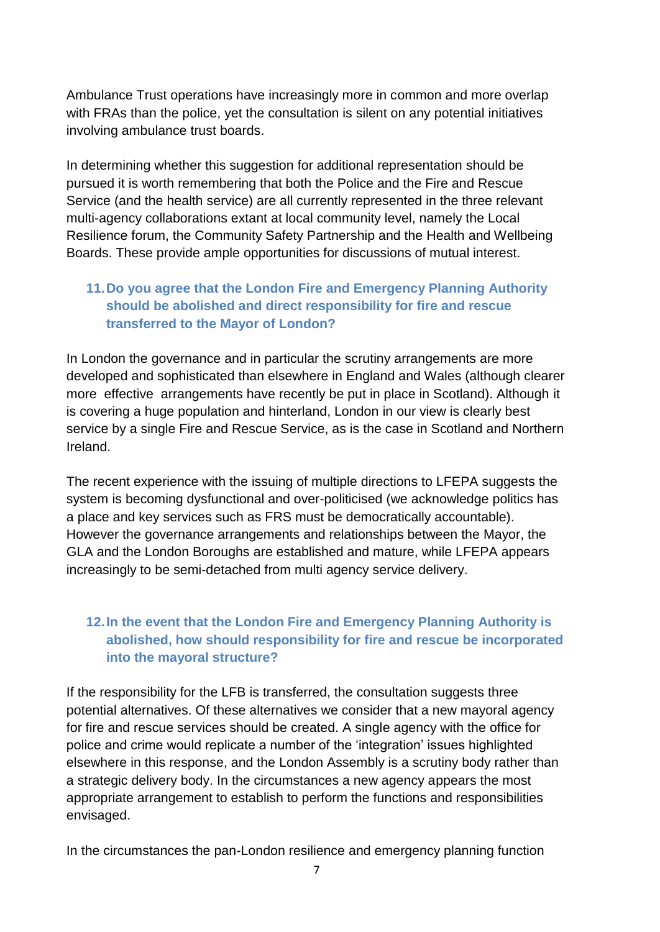Ambulance Trust operations have increasingly more in common and more overlap with FRAs than the police, yet the consultation is silent on any potential initiatives involving ambulance trust boards.

In determining whether this suggestion for additional representation should be pursued it is worth remembering that both the Police and the Fire and Rescue Service (and the health service) are all currently represented in the three relevant multi-agency collaborations extant at local community level, namely the Local Resilience forum, the Community Safety Partnership and the Health and Wellbeing Boards. These provide ample opportunities for discussions of mutual interest.

#### **11.Do you agree that the London Fire and Emergency Planning Authority should be abolished and direct responsibility for fire and rescue transferred to the Mayor of London?**

In London the governance and in particular the scrutiny arrangements are more developed and sophisticated than elsewhere in England and Wales (although clearer more effective arrangements have recently be put in place in Scotland). Although it is covering a huge population and hinterland, London in our view is clearly best service by a single Fire and Rescue Service, as is the case in Scotland and Northern Ireland.

The recent experience with the issuing of multiple directions to LFEPA suggests the system is becoming dysfunctional and over-politicised (we acknowledge politics has a place and key services such as FRS must be democratically accountable). However the governance arrangements and relationships between the Mayor, the GLA and the London Boroughs are established and mature, while LFEPA appears increasingly to be semi-detached from multi agency service delivery.

## **12.In the event that the London Fire and Emergency Planning Authority is abolished, how should responsibility for fire and rescue be incorporated into the mayoral structure?**

If the responsibility for the LFB is transferred, the consultation suggests three potential alternatives. Of these alternatives we consider that a new mayoral agency for fire and rescue services should be created. A single agency with the office for police and crime would replicate a number of the 'integration' issues highlighted elsewhere in this response, and the London Assembly is a scrutiny body rather than a strategic delivery body. In the circumstances a new agency appears the most appropriate arrangement to establish to perform the functions and responsibilities envisaged.

In the circumstances the pan-London resilience and emergency planning function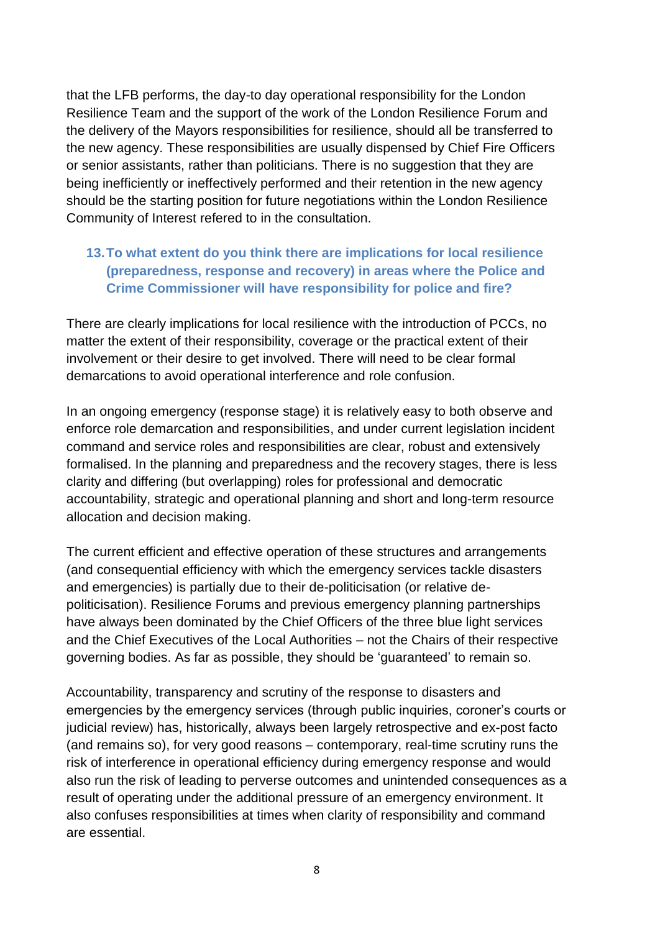that the LFB performs, the day-to day operational responsibility for the London Resilience Team and the support of the work of the London Resilience Forum and the delivery of the Mayors responsibilities for resilience, should all be transferred to the new agency. These responsibilities are usually dispensed by Chief Fire Officers or senior assistants, rather than politicians. There is no suggestion that they are being inefficiently or ineffectively performed and their retention in the new agency should be the starting position for future negotiations within the London Resilience Community of Interest refered to in the consultation.

#### **13.To what extent do you think there are implications for local resilience (preparedness, response and recovery) in areas where the Police and Crime Commissioner will have responsibility for police and fire?**

There are clearly implications for local resilience with the introduction of PCCs, no matter the extent of their responsibility, coverage or the practical extent of their involvement or their desire to get involved. There will need to be clear formal demarcations to avoid operational interference and role confusion.

In an ongoing emergency (response stage) it is relatively easy to both observe and enforce role demarcation and responsibilities, and under current legislation incident command and service roles and responsibilities are clear, robust and extensively formalised. In the planning and preparedness and the recovery stages, there is less clarity and differing (but overlapping) roles for professional and democratic accountability, strategic and operational planning and short and long-term resource allocation and decision making.

The current efficient and effective operation of these structures and arrangements (and consequential efficiency with which the emergency services tackle disasters and emergencies) is partially due to their de-politicisation (or relative depoliticisation). Resilience Forums and previous emergency planning partnerships have always been dominated by the Chief Officers of the three blue light services and the Chief Executives of the Local Authorities – not the Chairs of their respective governing bodies. As far as possible, they should be 'guaranteed' to remain so.

Accountability, transparency and scrutiny of the response to disasters and emergencies by the emergency services (through public inquiries, coroner's courts or judicial review) has, historically, always been largely retrospective and ex-post facto (and remains so), for very good reasons – contemporary, real-time scrutiny runs the risk of interference in operational efficiency during emergency response and would also run the risk of leading to perverse outcomes and unintended consequences as a result of operating under the additional pressure of an emergency environment. It also confuses responsibilities at times when clarity of responsibility and command are essential.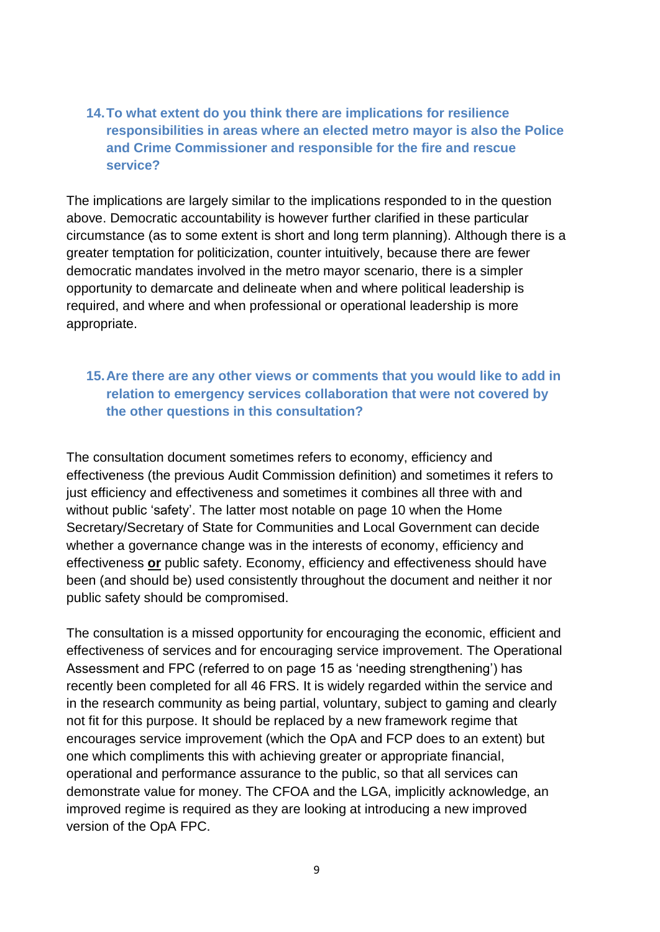#### **14.To what extent do you think there are implications for resilience responsibilities in areas where an elected metro mayor is also the Police and Crime Commissioner and responsible for the fire and rescue service?**

The implications are largely similar to the implications responded to in the question above. Democratic accountability is however further clarified in these particular circumstance (as to some extent is short and long term planning). Although there is a greater temptation for politicization, counter intuitively, because there are fewer democratic mandates involved in the metro mayor scenario, there is a simpler opportunity to demarcate and delineate when and where political leadership is required, and where and when professional or operational leadership is more appropriate.

#### **15.Are there are any other views or comments that you would like to add in relation to emergency services collaboration that were not covered by the other questions in this consultation?**

The consultation document sometimes refers to economy, efficiency and effectiveness (the previous Audit Commission definition) and sometimes it refers to just efficiency and effectiveness and sometimes it combines all three with and without public 'safety'. The latter most notable on page 10 when the Home Secretary/Secretary of State for Communities and Local Government can decide whether a governance change was in the interests of economy, efficiency and effectiveness **or** public safety. Economy, efficiency and effectiveness should have been (and should be) used consistently throughout the document and neither it nor public safety should be compromised.

The consultation is a missed opportunity for encouraging the economic, efficient and effectiveness of services and for encouraging service improvement. The Operational Assessment and FPC (referred to on page 15 as 'needing strengthening') has recently been completed for all 46 FRS. It is widely regarded within the service and in the research community as being partial, voluntary, subject to gaming and clearly not fit for this purpose. It should be replaced by a new framework regime that encourages service improvement (which the OpA and FCP does to an extent) but one which compliments this with achieving greater or appropriate financial, operational and performance assurance to the public, so that all services can demonstrate value for money. The CFOA and the LGA, implicitly acknowledge, an improved regime is required as they are looking at introducing a new improved version of the OpA FPC.